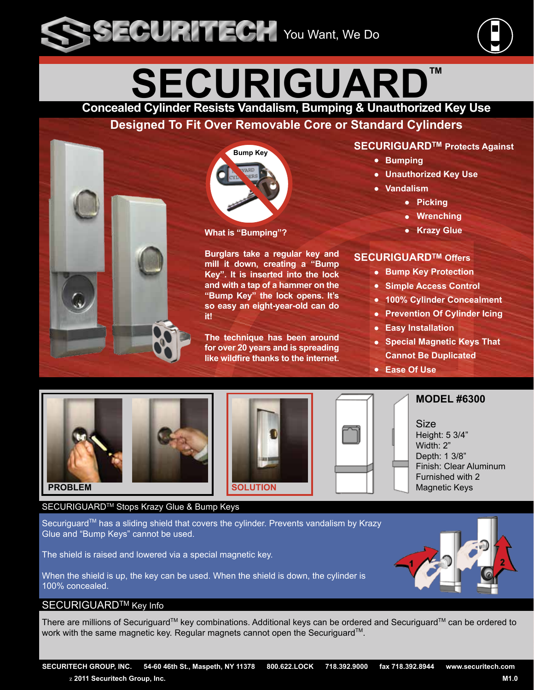

# **SECURIGUARD**

**Concealed Cylinder Resists Vandalism, Bumping & Unauthorized Key Use**

## **Designed To Fit Over Removable Core or Standard Cylinders**



#### **What is "Bumping"?**

**Burglars take a regular key and mill it down, creating a "Bump Key". It is inserted into the lock and with a tap of a hammer on the "Bump Key" the lock opens. It's so easy an eight-year-old can do it!**

**The technique has been around for over 20 years and is spreading like wildfire thanks to the internet.**

#### **SECURIGUARDTM Protects Against**

- **Bumping**
- **Unauthorized Key Use**
- **Vandalism**
	- **Picking**
	- **Wrenching**
	- **Krazy Glue**

#### **SECURIGUARDTM Offers**

- **Bump Key Protection**
- **Simple Access Control**
- **100% Cylinder Concealment**
- **Prevention Of Cylinder Icing**
- **Easy Installation**
- **Special Magnetic Keys That Cannot Be Duplicated**
- **Ease Of Use**









**MODEL #6300**

Size Height: 5 3/4" Width: 2" Depth: 1 3/8" Finish: Clear Aluminum Furnished with 2 Magnetic Keys

#### SECURIGUARD<sup>™</sup> Stops Krazy Glue & Bump Keys

Securiguard™ has a sliding shield that covers the cylinder. Prevents vandalism by Krazy Glue and "Bump Keys" cannot be used.

The shield is raised and lowered via a special magnetic key.

When the shield is up, the key can be used. When the shield is down, the cylinder is 100% concealed.

#### SECURIGUARD<sup>™</sup> Key Info

There are millions of Securiguard™ key combinations. Additional keys can be ordered and Securiguard™ can be ordered to work with the same magnetic key. Regular magnets cannot open the Securiguard<sup>™</sup>.